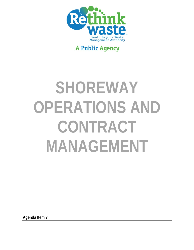

# **A Public Agency**

# **SHOREWAY OPERATIONS AND CONTRACT MANAGEMENT**

**Agenda Item 7**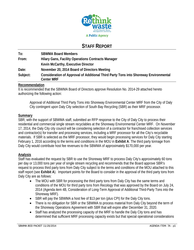

## **STAFF REPORT**

| To:      | <b>SBWMA Board Members</b>                                                                                |
|----------|-----------------------------------------------------------------------------------------------------------|
| From:    | <b>Hilary Gans, Facility Operations Contracts Manager</b>                                                 |
|          | Kevin McCarthy, Executive Director                                                                        |
| Date:    | November 20, 2014 Board of Directors Meeting                                                              |
| Subject: | Consideration of Approval of Additional Third Party Tons into Shoreway Environmental<br><b>Center MRF</b> |

#### **Recommendation**

It is recommended that the SBWMA Board of Directors approve Resolution No. 2014-29 attached hereto authorizing the following action:

Approval of Additional Third Party Tons into Shoreway Environmental Center MRF from the City of Daly City contingent upon Daly City selection of South Bay Recycling (SBR) as their MRF processor.

#### **Summary**

SBR, with the support of SBWMA staff, submitted an RFP response to the City of Daly City to process their residential and commercial single stream recyclables at the Shoreway Environmental Center MRF. On November 17, 2014, the Daly City city council will be considering selection of a contractor for franchised collection services and contractor(s) for transfer and processing services, including a MRF processor for all the City's recyclable materials. If SBR is selected as the MRF processor, they would begin processing services for Daly City starting February 1, 2016 according to the terms and conditions in the MOU in **Exhibit A**. The third party tonnage from Daly City would contribute host fee revenues to the SBWMA of approximately \$170,000 per year.

#### **Analysis**

Staff has evaluated the request by SBR to use the Shoreway MRF to process Daly City's approximately 60 tons per day or 13,000 tons per year of single stream recycling and recommends that the Board approve SBR's request to process third party tons from Daly City subject to the terms and conditions of the MOU attached to this staff report (see **Exhibit A**). Important points for the Board to consider in the approval of the third party tons from Daly City are as follows:

- The MOU with SBR for processing the third party tons from Daly City has the same terms and conditions of the MOU for third party tons from Recology that was approved by the Board on July 24, 2014 (Agenda item 4B, Consideration of Long-Term Approval of Additional Third-Party Tons into the Shoreway MRF).
- SBR will pay the SBWMA a host fee of \$13 per ton (plus CPI) for the Daly City tons.
- There is no obligation for SBR or the SBWMA to process material from Daly City beyond the term of the Shoreway Operations Agreement with SBR that will expire after December 31, 2020.
- Staff has analyzed the processing capacity of the MRF to handle the Daly City tons and has determined that sufficient MRF processing capacity exists but that special operational considerations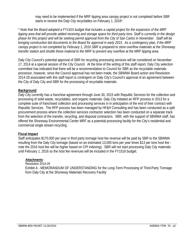may need to be implemented if the MRF tipping area canopy project is not completed before SBR starts to receive the Daly City recyclables on February 1, 2016\*.

*\* Note that the Board adopted a FY1415 budget that includes a capital project for the expansion of the MRF tipping area that will provide added receiving and storage space for third party tons. Staff is currently in the design phase for this project and will be seeking permit approval from the City of San Carlos in November. Staff will be bringing construction bid documents to the Board for approval in early 2015. As a contingency plan, if the MRF canopy project is not completed by February 1, 2016 SBR is prepared to store overflow materials at the Shoreway transfer station and shuttle these material to the MRF to prevent any overflow at the MRF tipping area.* 

Daly City Council's potential approval of SBR for recycling processing services will be considered on November 17, 2014 at a special session of the City Council. At the time of the writing of this staff report, Daly City selection committee has indicated that there will be a recommendation to Council for SBR as the recyclable materials processor, however, since the Council approval has not been made, the SBWMA Board action and Resolution 2014-29 associated with this staff report is contingent on Daly City's Council's approval of an agreement between the City of Daly City and SBR for the processing of recyclable materials.

#### **Background**

Daly City currently has a franchise agreement through June 30, 2015 with Republic Services for the collection and processing of solid waste, recyclables, and organic materials. Daly City initiated an RFP process in 2013 for a complete suite of franchised collection and processing services in in anticipation of the end of their contract with Republic Services. The RFP process has been managed by HF&H Consulting and has been conducted as a split procurement process where the collection services contractor selection has been conducted on a separate track from the selection of the transfer, recycling, and disposal contractors. SBR, with the support of SBWMA staff, has offered the Shoreway Environmental Center MRF as a potential processing facility for the City's residential and commercial single stream recycling.

#### **Fiscal Impact**

Staff anticipates \$170,000 per year in third party tonnage host fee revenue will be paid by SBR to the SBWMA resulting from the Daly City tonnage (based on an estimated 13,000 tons per year times \$13 per tons host fee note the 2016 host fee will be higher based on CPI indexing). SBR will not start processing Daly City materials until February 1, 2016 so the host fee revenues will be included in the FY1516 budget.

#### *Attachments:*

Resolution 2014-29 Exhibit A - MEMORANDUM OF UNDERSTANDING for the Long-Term Processing of Third-Party Tonnage from Daly City at the Shoreway Materials Recovery Facility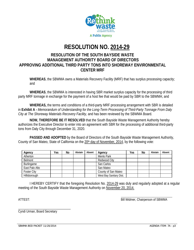

# **RESOLUTION NO. 2014-29**

### **RESOLUTION OF THE SOUTH BAYSIDE WASTE MANAGEMENT AUTHORITY BOARD OF DIRECTORS APPROVING ADDITIONAL THIRD PARTY TONS INTO SHOREWAY ENVIRONMENTAL CENTER MRF**

**WHEREAS**, the SBWMA owns a Materials Recovery Facility (MRF) that has surplus processing capacity; and

**WHEREAS**, the SBWMA is interested in having SBR market surplus capacity for the processing of third party MRF tonnage in exchange for the payment of a host fee that would be paid by SBR to the SBWMA; and

 **WHEREAS,** the terms and conditions of a third-party MRF processing arrangement with SBR is detailed in **Exhibit A** *- Memorandum of Understanding for the Long-Term Processing of Third-Party Tonnage From Daly City at The Shoreway Materials Recovery Facility,* and has been reviewed by the SBWMA Board.

**NOW, THEREFORE BE IT RESOLVED** that the South Bayside Waste Management Authority hereby authorizes the Executive Director to enter into an agreement with SBR for the processing of additional third-party tons from Daly City through December 31, 2020.

**PASSED AND ADOPTED** by the Board of Directors of the South Bayside Waste Management Authority, County of San Mateo, State of California on the 20<sup>th</sup> day of November, 2014, by the following vote:

| Agency             | Yes | No | Abstain | Absent | Agency                  | Yes | No | Abstain | Absent |
|--------------------|-----|----|---------|--------|-------------------------|-----|----|---------|--------|
| Atherton           |     |    |         |        | Menlo Park              |     |    |         |        |
| <b>Belmont</b>     |     |    |         |        | Redwood City            |     |    |         |        |
| Burlingame         |     |    |         |        | San Carlos              |     |    |         |        |
| East Palo Alto     |     |    |         |        | San Mateo               |     |    |         |        |
| <b>Foster City</b> |     |    |         |        | County of San Mateo     |     |    |         |        |
| Hillsborough       |     |    |         |        | West Bay Sanitary Dist. |     |    |         |        |

I HEREBY CERTIFY that the foregoing Resolution No. 2014-29 was duly and regularly adopted at a regular meeting of the South Bayside Waste Management Authority on November 20, 2014.

ATTEST: AND ATTEST:

\_\_\_\_\_\_\_\_\_\_\_\_\_\_\_\_\_\_\_\_\_\_\_\_\_\_\_\_\_\_\_\_\_ Cyndi Urman, Board Secretary

SBWMA BOD PACKET 11/20/2014 **AGENDA ITEM:** 7A - p3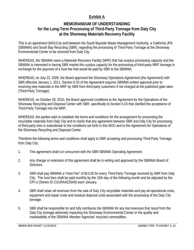## **Exhibit A**

## **MEMORANDUM OF UNDERSTANDING for the Long-Term Processing of Third-Party Tonnage from Daly City at the Shoreway Materials Recovery Facility**

This is an agreement (MOU) by and between the South Bayside Waste Management Authority, a California JPA (SBWMA) and South Bay Recycling (SBR), regarding the processing of Third-Party Tonnage at the Shoreway Environmental Center to be received from Daly City.

WHEREAS, the SBWMA owns a Materials Recovery Facility (MRF) that has surplus processing capacity and the SBWMA is interested in having SBR market this surplus capacity for the processing of third-party MRF tonnage in exchange for the payment of a host fee that would be paid by SBR to the SBWMA;

WHEREAS, on July 23, 2009, the Board approved the Shoreway Operations Agreement (the Agreement) with SBR effective January 1, 2011, Section 5.03 of the Agreement requires SBWMA written approval prior to receiving new materials in the MRF by SBR from third-party customers if not charged at the published gate rates (Third-Party Tonnage);

WHEREAS, on October 28, 2010, the Board approved conditions to the Agreement for the Operations of the Shoreway Recycling and Disposal Center with SBR, specifically to Section 5.03 that clarified the acceptance of Third-Party Tonnage into the MRF;

WHEREAS, the parties wish to establish the terms and conditions for the arrangement for processing the recyclable materials from Daly City and to clarify that any agreement between SBR and Daly City for processing of third-party tons is subordinate to the conditions set forth in this MOU and to the Agreement for Operations of the Shoreway Recycling and Disposal Center.

Therefore the following terms and conditions shall apply to SBR accepting and processing Third-Party Tonnage from Daly City:

- 1. This agreement shall run concurrent with the SBR-SBWMA Operating Agreement.
- 2. Any change or extension of this agreement shall be in writing and approved by the SBWMA Board of Directors.
- 3. SBR shall pay SBWMA a "Host Fee" of \$13.00 for every Third-Party Tonnage received by SBR from Daly City. The host fees shall be paid monthly by the 15th day of the following month and be adjusted by the CPI-U (Series ID CUURA422SA0) each January.
- 4. SBR shall retain all revenues from the sale of Daly City recyclable materials and pay all operational costs, equipment and repair costs and residual disposal costs associated with the processing of the Daly City tonnage.
- 5. SBR shall be responsible for and fully reimburse the SBWMA for any lost revenues that result from the Daly City tonnage adversely impacting the Shoreway Environmental Center or the quality and marketability of the SBWMA Member Agencies' recycled commodities.